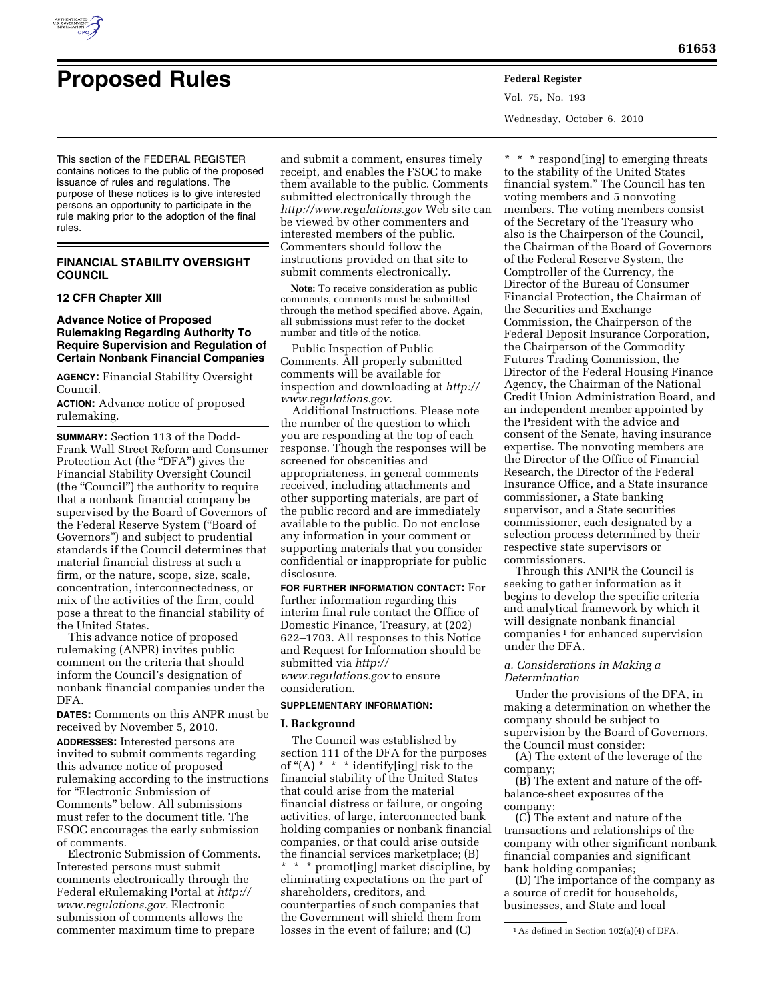

Vol. 75, No. 193 Wednesday, October 6, 2010

This section of the FEDERAL REGISTER contains notices to the public of the proposed issuance of rules and regulations. The purpose of these notices is to give interested persons an opportunity to participate in the rule making prior to the adoption of the final rules.

## **FINANCIAL STABILITY OVERSIGHT COUNCIL**

## **12 CFR Chapter XIII**

# **Advance Notice of Proposed Rulemaking Regarding Authority To Require Supervision and Regulation of Certain Nonbank Financial Companies**

**AGENCY:** Financial Stability Oversight Council.

**ACTION:** Advance notice of proposed rulemaking.

**SUMMARY:** Section 113 of the Dodd-Frank Wall Street Reform and Consumer Protection Act (the "DFA") gives the Financial Stability Oversight Council (the ''Council'') the authority to require that a nonbank financial company be supervised by the Board of Governors of the Federal Reserve System (''Board of Governors'') and subject to prudential standards if the Council determines that material financial distress at such a firm, or the nature, scope, size, scale, concentration, interconnectedness, or mix of the activities of the firm, could pose a threat to the financial stability of the United States.

This advance notice of proposed rulemaking (ANPR) invites public comment on the criteria that should inform the Council's designation of nonbank financial companies under the DFA.

**DATES:** Comments on this ANPR must be received by November 5, 2010. **ADDRESSES:** Interested persons are invited to submit comments regarding this advance notice of proposed rulemaking according to the instructions for ''Electronic Submission of Comments'' below. All submissions must refer to the document title. The FSOC encourages the early submission of comments.

Electronic Submission of Comments. Interested persons must submit comments electronically through the Federal eRulemaking Portal at *[http://](http://www.regulations.gov) [www.regulations.gov.](http://www.regulations.gov)* Electronic submission of comments allows the commenter maximum time to prepare

and submit a comment, ensures timely receipt, and enables the FSOC to make them available to the public. Comments submitted electronically through the *<http://www.regulations.gov>* Web site can be viewed by other commenters and interested members of the public. Commenters should follow the instructions provided on that site to submit comments electronically.

**Note:** To receive consideration as public comments, comments must be submitted through the method specified above. Again, all submissions must refer to the docket number and title of the notice.

Public Inspection of Public Comments. All properly submitted comments will be available for inspection and downloading at *[http://](http://www.regulations.gov) [www.regulations.gov.](http://www.regulations.gov)* 

Additional Instructions. Please note the number of the question to which you are responding at the top of each response. Though the responses will be screened for obscenities and appropriateness, in general comments received, including attachments and other supporting materials, are part of the public record and are immediately available to the public. Do not enclose any information in your comment or supporting materials that you consider confidential or inappropriate for public disclosure.

**FOR FURTHER INFORMATION CONTACT:** For further information regarding this interim final rule contact the Office of Domestic Finance, Treasury, at (202) 622–1703. All responses to this Notice and Request for Information should be submitted via *[http://](http://www.regulations.gov) [www.regulations.gov](http://www.regulations.gov)* to ensure consideration.

## **SUPPLEMENTARY INFORMATION:**

### **I. Background**

The Council was established by section 111 of the DFA for the purposes of " $(A)$  \* \* \* identify[ing] risk to the financial stability of the United States that could arise from the material financial distress or failure, or ongoing activities, of large, interconnected bank holding companies or nonbank financial companies, or that could arise outside the financial services marketplace; (B) \* \* \* promot[ing] market discipline, by eliminating expectations on the part of shareholders, creditors, and counterparties of such companies that the Government will shield them from losses in the event of failure; and (C)

\* \* \* respond[ing] to emerging threats to the stability of the United States financial system.'' The Council has ten voting members and 5 nonvoting members. The voting members consist of the Secretary of the Treasury who also is the Chairperson of the Council, the Chairman of the Board of Governors of the Federal Reserve System, the Comptroller of the Currency, the Director of the Bureau of Consumer Financial Protection, the Chairman of the Securities and Exchange Commission, the Chairperson of the Federal Deposit Insurance Corporation, the Chairperson of the Commodity Futures Trading Commission, the Director of the Federal Housing Finance Agency, the Chairman of the National Credit Union Administration Board, and an independent member appointed by the President with the advice and consent of the Senate, having insurance expertise. The nonvoting members are the Director of the Office of Financial Research, the Director of the Federal Insurance Office, and a State insurance commissioner, a State banking supervisor, and a State securities commissioner, each designated by a selection process determined by their respective state supervisors or commissioners.

Through this ANPR the Council is seeking to gather information as it begins to develop the specific criteria and analytical framework by which it will designate nonbank financial companies 1 for enhanced supervision under the DFA.

### *a. Considerations in Making a Determination*

Under the provisions of the DFA, in making a determination on whether the company should be subject to supervision by the Board of Governors, the Council must consider:

(A) The extent of the leverage of the company;

(B) The extent and nature of the offbalance-sheet exposures of the company;

(C) The extent and nature of the transactions and relationships of the company with other significant nonbank financial companies and significant bank holding companies;

(D) The importance of the company as a source of credit for households, businesses, and State and local

<sup>1</sup>As defined in Section 102(a)(4) of DFA.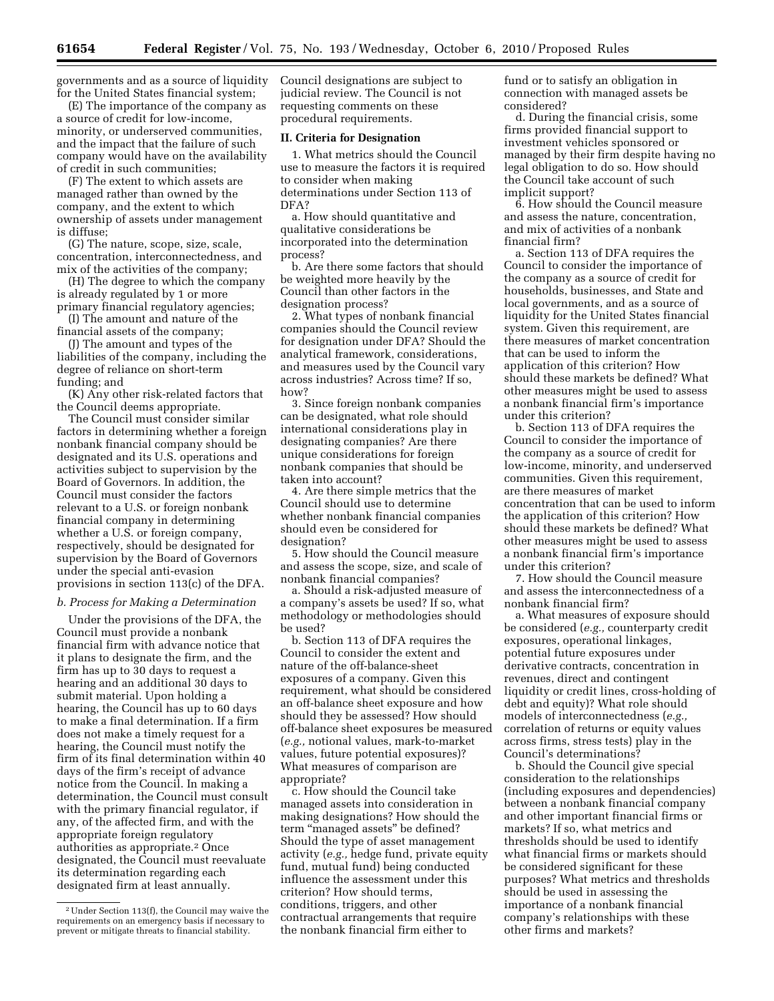governments and as a source of liquidity for the United States financial system;

(E) The importance of the company as a source of credit for low-income, minority, or underserved communities, and the impact that the failure of such company would have on the availability of credit in such communities;

(F) The extent to which assets are managed rather than owned by the company, and the extent to which ownership of assets under management is diffuse;

(G) The nature, scope, size, scale, concentration, interconnectedness, and mix of the activities of the company;

(H) The degree to which the company is already regulated by 1 or more primary financial regulatory agencies;

(I) The amount and nature of the financial assets of the company;

(J) The amount and types of the liabilities of the company, including the degree of reliance on short-term funding; and

(K) Any other risk-related factors that the Council deems appropriate.

The Council must consider similar factors in determining whether a foreign nonbank financial company should be designated and its U.S. operations and activities subject to supervision by the Board of Governors. In addition, the Council must consider the factors relevant to a U.S. or foreign nonbank financial company in determining whether a U.S. or foreign company, respectively, should be designated for supervision by the Board of Governors under the special anti-evasion provisions in section 113(c) of the DFA.

#### *b. Process for Making a Determination*

Under the provisions of the DFA, the Council must provide a nonbank financial firm with advance notice that it plans to designate the firm, and the firm has up to 30 days to request a hearing and an additional 30 days to submit material. Upon holding a hearing, the Council has up to 60 days to make a final determination. If a firm does not make a timely request for a hearing, the Council must notify the firm of its final determination within 40 days of the firm's receipt of advance notice from the Council. In making a determination, the Council must consult with the primary financial regulator, if any, of the affected firm, and with the appropriate foreign regulatory authorities as appropriate.2 Once designated, the Council must reevaluate its determination regarding each designated firm at least annually.

Council designations are subject to judicial review. The Council is not requesting comments on these procedural requirements.

### **II. Criteria for Designation**

1. What metrics should the Council use to measure the factors it is required to consider when making determinations under Section 113 of DFA?

a. How should quantitative and qualitative considerations be incorporated into the determination process?

b. Are there some factors that should be weighted more heavily by the Council than other factors in the designation process?

2. What types of nonbank financial companies should the Council review for designation under DFA? Should the analytical framework, considerations, and measures used by the Council vary across industries? Across time? If so, how?

3. Since foreign nonbank companies can be designated, what role should international considerations play in designating companies? Are there unique considerations for foreign nonbank companies that should be taken into account?

4. Are there simple metrics that the Council should use to determine whether nonbank financial companies should even be considered for designation?

5. How should the Council measure and assess the scope, size, and scale of nonbank financial companies?

a. Should a risk-adjusted measure of a company's assets be used? If so, what methodology or methodologies should be used?

b. Section 113 of DFA requires the Council to consider the extent and nature of the off-balance-sheet exposures of a company. Given this requirement, what should be considered an off-balance sheet exposure and how should they be assessed? How should off-balance sheet exposures be measured (*e.g.,* notional values, mark-to-market values, future potential exposures)? What measures of comparison are appropriate?

c. How should the Council take managed assets into consideration in making designations? How should the term ''managed assets'' be defined? Should the type of asset management activity (*e.g.,* hedge fund, private equity fund, mutual fund) being conducted influence the assessment under this criterion? How should terms, conditions, triggers, and other contractual arrangements that require the nonbank financial firm either to

fund or to satisfy an obligation in connection with managed assets be considered?

d. During the financial crisis, some firms provided financial support to investment vehicles sponsored or managed by their firm despite having no legal obligation to do so. How should the Council take account of such implicit support?

6. How should the Council measure and assess the nature, concentration, and mix of activities of a nonbank financial firm?

a. Section 113 of DFA requires the Council to consider the importance of the company as a source of credit for households, businesses, and State and local governments, and as a source of liquidity for the United States financial system. Given this requirement, are there measures of market concentration that can be used to inform the application of this criterion? How should these markets be defined? What other measures might be used to assess a nonbank financial firm's importance under this criterion?

b. Section 113 of DFA requires the Council to consider the importance of the company as a source of credit for low-income, minority, and underserved communities. Given this requirement, are there measures of market concentration that can be used to inform the application of this criterion? How should these markets be defined? What other measures might be used to assess a nonbank financial firm's importance under this criterion?

7. How should the Council measure and assess the interconnectedness of a nonbank financial firm?

a. What measures of exposure should be considered (*e.g.,* counterparty credit exposures, operational linkages, potential future exposures under derivative contracts, concentration in revenues, direct and contingent liquidity or credit lines, cross-holding of debt and equity)? What role should models of interconnectedness (*e.g.,*  correlation of returns or equity values across firms, stress tests) play in the Council's determinations?

b. Should the Council give special consideration to the relationships (including exposures and dependencies) between a nonbank financial company and other important financial firms or markets? If so, what metrics and thresholds should be used to identify what financial firms or markets should be considered significant for these purposes? What metrics and thresholds should be used in assessing the importance of a nonbank financial company's relationships with these other firms and markets?

<sup>2</sup>Under Section 113(f), the Council may waive the requirements on an emergency basis if necessary to prevent or mitigate threats to financial stability.